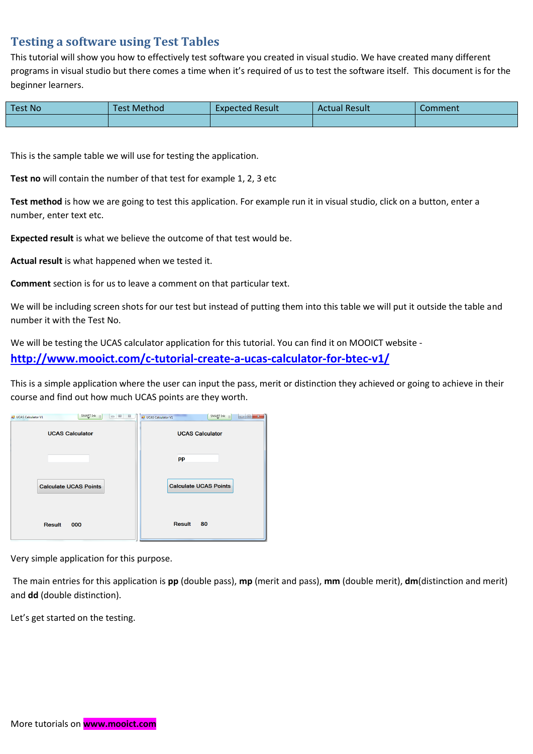## **Testing a software using Test Tables**

This tutorial will show you how to effectively test software you created in visual studio. We have created many different programs in visual studio but there comes a time when it's required of us to test the software itself. This document is for the beginner learners.

| <b>Test No</b> | Test Method | <b>Expected Result</b> | <b>Actual Result</b> | Comment |
|----------------|-------------|------------------------|----------------------|---------|
|                |             |                        |                      |         |

This is the sample table we will use for testing the application.

**Test no** will contain the number of that test for example 1, 2, 3 etc

**Test method** is how we are going to test this application. For example run it in visual studio, click on a button, enter a number, enter text etc.

**Expected result** is what we believe the outcome of that test would be.

**Actual result** is what happened when we tested it.

**Comment** section is for us to leave a comment on that particular text.

We will be including screen shots for our test but instead of putting them into this table we will put it outside the table and number it with the Test No.

We will be testing the UCAS calculator application for this tutorial. You can find it on MOOICT website **<http://www.mooict.com/c-tutorial-create-a-ucas-calculator-for-btec-v1/>**

This is a simple application where the user can input the pass, merit or distinction they achieved or going to achieve in their course and find out how much UCAS points are they worth.



Very simple application for this purpose.

The main entries for this application is **pp** (double pass), **mp** (merit and pass), **mm** (double merit), **dm**(distinction and merit) and **dd** (double distinction).

Let's get started on the testing.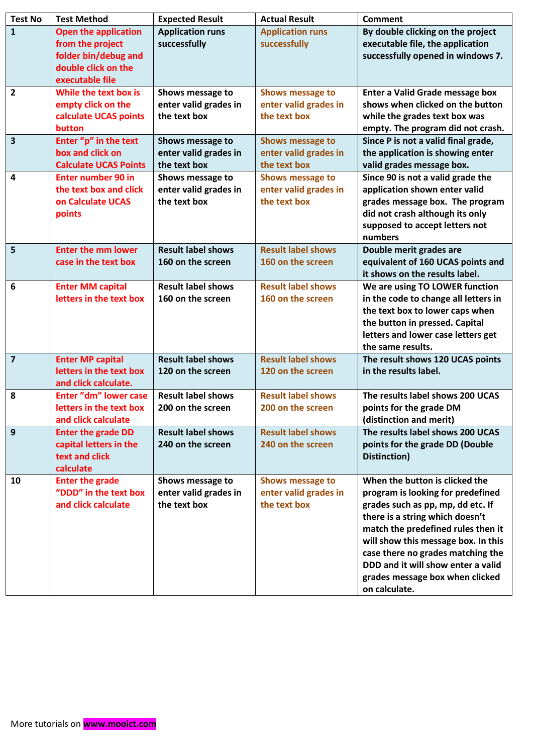| <b>Test No</b>          | <b>Test Method</b>                                                                                                | <b>Expected Result</b>                                    | <b>Actual Result</b>                                             | <b>Comment</b>                                                                                                                                                                                                                                                                                                                                          |
|-------------------------|-------------------------------------------------------------------------------------------------------------------|-----------------------------------------------------------|------------------------------------------------------------------|---------------------------------------------------------------------------------------------------------------------------------------------------------------------------------------------------------------------------------------------------------------------------------------------------------------------------------------------------------|
| $\mathbf{1}$            | <b>Open the application</b><br>from the project<br>folder bin/debug and<br>double click on the<br>executable file | <b>Application runs</b><br>successfully                   | <b>Application runs</b><br>successfully                          | By double clicking on the project<br>executable file, the application<br>successfully opened in windows 7.                                                                                                                                                                                                                                              |
| $\overline{2}$          | While the text box is<br>empty click on the<br>calculate UCAS points<br>button                                    | Shows message to<br>enter valid grades in<br>the text box | Shows message to<br>enter valid grades in<br>the text box        | <b>Enter a Valid Grade message box</b><br>shows when clicked on the button<br>while the grades text box was<br>empty. The program did not crash.                                                                                                                                                                                                        |
| $\overline{\mathbf{3}}$ | Enter "p" in the text<br>box and click on<br><b>Calculate UCAS Points</b>                                         | Shows message to<br>enter valid grades in<br>the text box | <b>Shows message to</b><br>enter valid grades in<br>the text box | Since P is not a valid final grade,<br>the application is showing enter<br>valid grades message box.                                                                                                                                                                                                                                                    |
| 4                       | <b>Enter number 90 in</b><br>the text box and click<br>on Calculate UCAS<br>points                                | Shows message to<br>enter valid grades in<br>the text box | Shows message to<br>enter valid grades in<br>the text box        | Since 90 is not a valid grade the<br>application shown enter valid<br>grades message box. The program<br>did not crash although its only<br>supposed to accept letters not<br>numbers                                                                                                                                                                   |
| 5                       | <b>Enter the mm lower</b><br>case in the text box                                                                 | <b>Result label shows</b><br>160 on the screen            | <b>Result label shows</b><br>160 on the screen                   | Double merit grades are<br>equivalent of 160 UCAS points and<br>it shows on the results label.                                                                                                                                                                                                                                                          |
| 6                       | <b>Enter MM capital</b><br>letters in the text box                                                                | <b>Result label shows</b><br>160 on the screen            | <b>Result label shows</b><br>160 on the screen                   | We are using TO LOWER function<br>in the code to change all letters in<br>the text box to lower caps when<br>the button in pressed. Capital<br>letters and lower case letters get<br>the same results.                                                                                                                                                  |
| $\overline{7}$          | <b>Enter MP capital</b><br>letters in the text box<br>and click calculate.                                        | <b>Result label shows</b><br>120 on the screen            | <b>Result label shows</b><br>120 on the screen                   | The result shows 120 UCAS points<br>in the results label.                                                                                                                                                                                                                                                                                               |
| 8                       | <b>Enter "dm" lower case</b><br>letters in the text box<br>and click calculate                                    | <b>Result label shows</b><br>200 on the screen            | <b>Result label shows</b><br>200 on the screen                   | The results label shows 200 UCAS<br>points for the grade DM<br>(distinction and merit)                                                                                                                                                                                                                                                                  |
| 9                       | <b>Enter the grade DD</b><br>capital letters in the<br>text and click<br>calculate                                | <b>Result label shows</b><br>240 on the screen            | <b>Result label shows</b><br>240 on the screen                   | The results label shows 200 UCAS<br>points for the grade DD (Double<br>Distinction)                                                                                                                                                                                                                                                                     |
| 10                      | <b>Enter the grade</b><br>"DDD" in the text box<br>and click calculate                                            | Shows message to<br>enter valid grades in<br>the text box | Shows message to<br>enter valid grades in<br>the text box        | When the button is clicked the<br>program is looking for predefined<br>grades such as pp, mp, dd etc. If<br>there is a string which doesn't<br>match the predefined rules then it<br>will show this message box. In this<br>case there no grades matching the<br>DDD and it will show enter a valid<br>grades message box when clicked<br>on calculate. |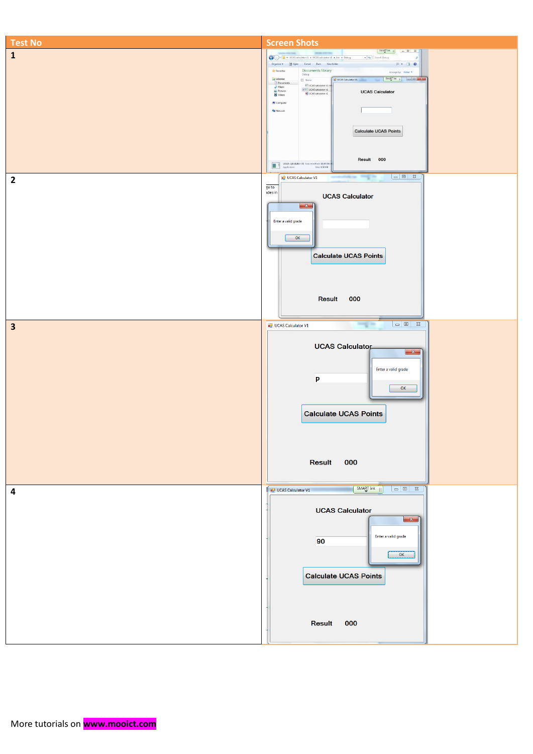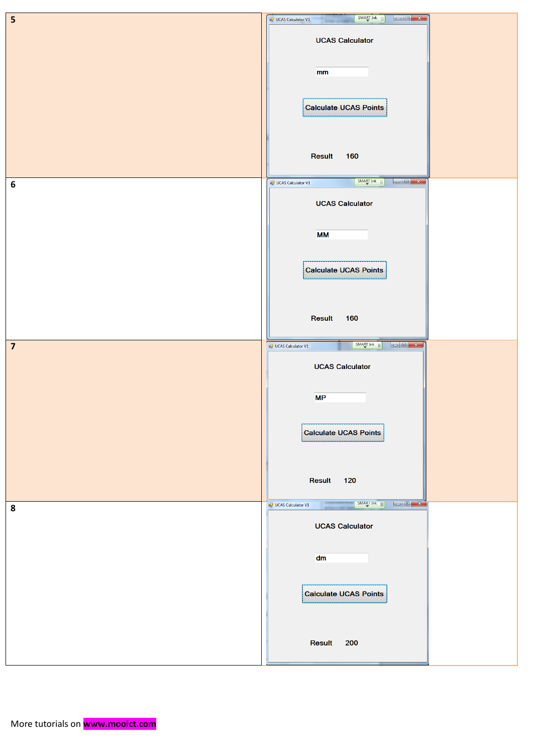| $\overline{\mathbf{5}}$ | SMART Ink<br><b>D</b> UCAS Calculator V1<br>-                                                                                                |
|-------------------------|----------------------------------------------------------------------------------------------------------------------------------------------|
|                         | <b>UCAS Calculator</b>                                                                                                                       |
|                         |                                                                                                                                              |
|                         | mm                                                                                                                                           |
|                         | <b>Calculate UCAS Points</b>                                                                                                                 |
|                         |                                                                                                                                              |
|                         |                                                                                                                                              |
|                         | Result<br>160                                                                                                                                |
| $\boldsymbol{6}$        | SMART Ink<br><b>D</b> UCAS Calculator V1                                                                                                     |
|                         | <b>UCAS Calculator</b>                                                                                                                       |
|                         |                                                                                                                                              |
|                         | <b>MM</b>                                                                                                                                    |
|                         | <b>Calculate UCAS Points</b>                                                                                                                 |
|                         |                                                                                                                                              |
|                         |                                                                                                                                              |
|                         | Result<br>160                                                                                                                                |
| $\overline{\mathbf{z}}$ | SMART Ink<br><b>DU</b> UCAS Calculator V1                                                                                                    |
|                         | <b>UCAS Calculator</b>                                                                                                                       |
|                         | <b>MP</b>                                                                                                                                    |
|                         |                                                                                                                                              |
|                         | <b>Calculate UCAS Points</b>                                                                                                                 |
|                         |                                                                                                                                              |
|                         | Result<br>120                                                                                                                                |
|                         | SMARI Ink<br>$\begin{array}{c c c c c} \hline \textbf{L} & \textbf{L} & \textbf{R} & \textbf{R} \end{array}$<br><b>DO</b> UCAS Calculator V1 |
| 8                       | <b>UCAS Calculator</b>                                                                                                                       |
|                         |                                                                                                                                              |
|                         | dm                                                                                                                                           |
|                         |                                                                                                                                              |
|                         | <b>Calculate UCAS Points</b>                                                                                                                 |
|                         |                                                                                                                                              |
|                         |                                                                                                                                              |
|                         | Result<br>200                                                                                                                                |